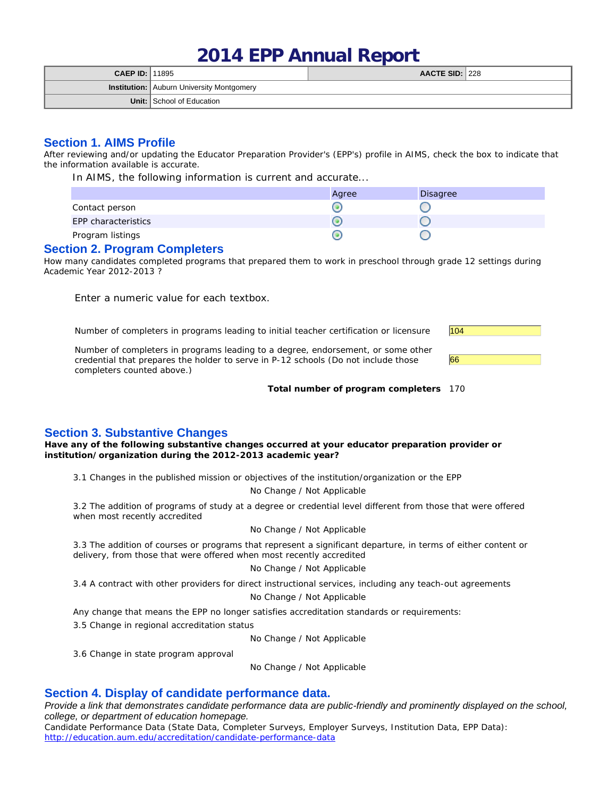# **2014 EPP Annual Report**

| <b>CAEP ID: 11895</b> |                                                  | AACTE SID: 228 |  |
|-----------------------|--------------------------------------------------|----------------|--|
|                       | <b>Institution:</b> Auburn University Montgomery |                |  |
|                       | <b>Unit:</b> School of Education                 |                |  |

# **Section 1. AIMS Profile**

After reviewing and/or updating the Educator Preparation Provider's (EPP's) profile in AIMS, check the box to indicate that the information available is accurate.

In AIMS, the following information is current and accurate...

|                     | Agree | Disagree |
|---------------------|-------|----------|
| Contact person      |       |          |
| EPP characteristics |       |          |
| Program listings    |       |          |

#### **Section 2. Program Completers**

How many candidates completed programs that prepared them to work in preschool through grade 12 settings during Academic Year 2012-2013 ?

Enter a numeric value for each textbox.

Number of completers in programs leading to initial teacher certification or licensure 104

Number of completers in programs leading to a degree, endorsement, or some other credential that prepares the holder to serve in P-12 schools (Do not include those completers counted above.)

**Total number of program completers** 170

66

## **Section 3. Substantive Changes**

**Have any of the following substantive changes occurred at your educator preparation provider or institution/organization during the 2012-2013 academic year?**

3.1 Changes in the published mission or objectives of the institution/organization or the EPP

No Change / Not Applicable

3.2 The addition of programs of study at a degree or credential level different from those that were offered when most recently accredited

#### No Change / Not Applicable

3.3 The addition of courses or programs that represent a significant departure, in terms of either content or delivery, from those that were offered when most recently accredited

#### No Change / Not Applicable

3.4 A contract with other providers for direct instructional services, including any teach-out agreements

No Change / Not Applicable

Any change that means the EPP no longer satisfies accreditation standards or requirements:

3.5 Change in regional accreditation status

No Change / Not Applicable

3.6 Change in state program approval

No Change / Not Applicable

# **Section 4. Display of candidate performance data.**

Provide a link that demonstrates candidate performance data are public-friendly and prominently displayed on the school, *college, or department of education homepage.*

Candidate Performance Data (State Data, Completer Surveys, Employer Surveys, Institution Data, EPP Data): http://education.aum.edu/accreditation/candidate-performance-data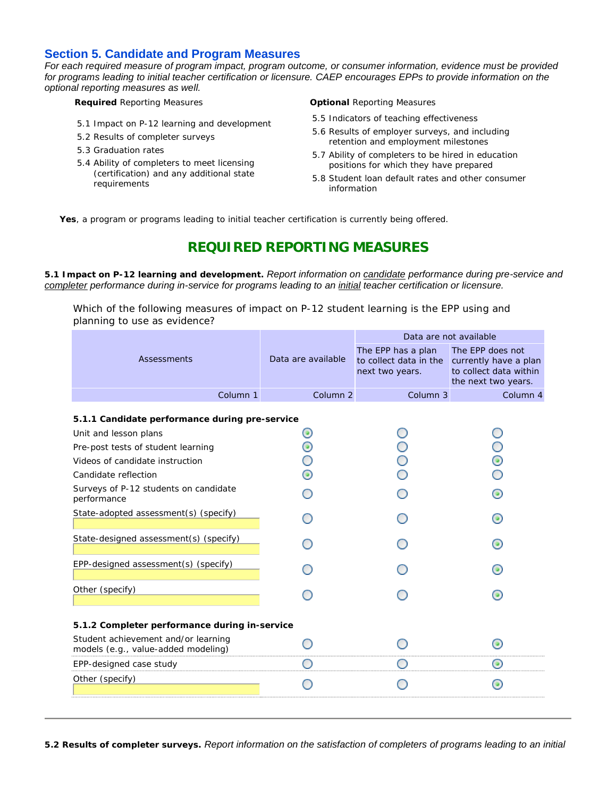# **Section 5. Candidate and Program Measures**

*For each required measure of program impact, program outcome, or consumer information, evidence must be provided*  for programs leading to initial teacher certification or licensure. CAEP encourages EPPs to provide information on the *optional reporting measures as well.*

- 5.1 Impact on P-12 learning and development
- 5.2 Results of completer surveys
- 5.3 Graduation rates
- 5.4 Ability of completers to meet licensing (certification) and any additional state requirements

**Required** Reporting Measures **Optional** Reporting Measures

- 5.5 Indicators of teaching effectiveness
- 5.6 Results of employer surveys, and including retention and employment milestones
- 5.7 Ability of completers to be hired in education positions for which they have prepared
- 5.8 Student loan default rates and other consumer information

**Yes**, a program or programs leading to initial teacher certification is currently being offered.

# **REQUIRED REPORTING MEASURES**

**5.1 Impact on P-12 learning and development.** *Report information on candidate performance during pre-service and completer performance during in-service for programs leading to an initial teacher certification or licensure.*

Which of the following measures of impact on P-12 student learning is the EPP using and planning to use as evidence?

|                                                                            |                          | Data are not available                                          |                                                                                            |  |
|----------------------------------------------------------------------------|--------------------------|-----------------------------------------------------------------|--------------------------------------------------------------------------------------------|--|
| Assessments                                                                | Data are available       | The EPP has a plan<br>to collect data in the<br>next two years. | The EPP does not<br>currently have a plan<br>to collect data within<br>the next two years. |  |
| Column <sub>1</sub>                                                        | Column <sub>2</sub>      | Column <sub>3</sub>                                             | Column 4                                                                                   |  |
| 5.1.1 Candidate performance during pre-service                             |                          |                                                                 |                                                                                            |  |
| Unit and lesson plans                                                      | $\left( \bullet \right)$ |                                                                 |                                                                                            |  |
| Pre-post tests of student learning                                         | ۰                        |                                                                 |                                                                                            |  |
| Videos of candidate instruction                                            |                          |                                                                 |                                                                                            |  |
| Candidate reflection                                                       | ۰                        |                                                                 |                                                                                            |  |
| Surveys of P-12 students on candidate<br>performance                       |                          |                                                                 |                                                                                            |  |
| State-adopted assessment(s) (specify)                                      |                          |                                                                 |                                                                                            |  |
| State-designed assessment(s) (specify)                                     |                          |                                                                 |                                                                                            |  |
| EPP-designed assessment(s) (specify)                                       |                          |                                                                 |                                                                                            |  |
| Other (specify)                                                            |                          |                                                                 | $\circ$                                                                                    |  |
| 5.1.2 Completer performance during in-service                              |                          |                                                                 |                                                                                            |  |
| Student achievement and/or learning<br>models (e.g., value-added modeling) |                          |                                                                 |                                                                                            |  |
| EPP-designed case study                                                    |                          |                                                                 |                                                                                            |  |
| Other (specify)                                                            |                          |                                                                 |                                                                                            |  |
|                                                                            |                          |                                                                 |                                                                                            |  |

**5.2 Results of completer surveys.** *Report information on the satisfaction of completers of programs leading to an initial*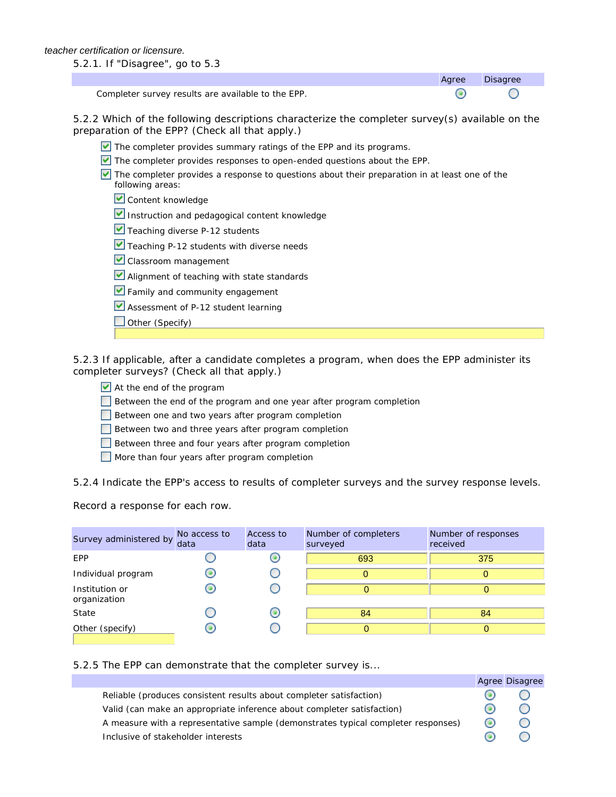5.2.1. If "Disagree", go to 5.3

Completer survey results are available to the EPP.

5.2.2 Which of the following descriptions characterize the completer survey(s) available on the preparation of the EPP? (Check all that apply.)

Agree Disagree

∩

⊙

- The completer provides summary ratings of the EPP and its programs.
- The completer provides responses to open-ended questions about the EPP.

 $\vee$  The completer provides a response to questions about their preparation in at least one of the following areas:

- Content knowledge
- Instruction and pedagogical content knowledge
- $\blacktriangleright$  Teaching diverse P-12 students
- Teaching P-12 students with diverse needs
- Classroom management
- **V** Alignment of teaching with state standards
- **V** Family and community engagement
- Assessment of P-12 student learning
- $\Box$  Other (Specify)

5.2.3 If applicable, after a candidate completes a program, when does the EPP administer its completer surveys? (Check all that apply.)

- At the end of the program
- Between the end of the program and one year after program completion
- Between one and two years after program completion
- Between two and three years after program completion
- Between three and four years after program completion
- More than four years after program completion

5.2.4 Indicate the EPP's access to results of completer surveys and the survey response levels.

Record a response for each row.

| Survey administered by         | No access to<br>data | Access to<br>data | Number of completers<br>surveyed | Number of responses<br>received |
|--------------------------------|----------------------|-------------------|----------------------------------|---------------------------------|
| <b>EPP</b>                     |                      |                   | 693                              | 375                             |
| Individual program             |                      |                   | 0                                |                                 |
| Institution or<br>organization |                      |                   | 0                                |                                 |
| State                          |                      |                   | 84                               | 84                              |
| Other (specify)                | 0                    |                   | 0                                |                                 |

#### 5.2.5 The EPP can demonstrate that the completer survey is...

|                                                                                   |         | Agree Disagree                                  |
|-----------------------------------------------------------------------------------|---------|-------------------------------------------------|
| Reliable (produces consistent results about completer satisfaction)               |         | $\left( \begin{array}{c} 1 \end{array} \right)$ |
| Valid (can make an appropriate inference about completer satisfaction)            |         | $\left( \begin{array}{c} \end{array} \right)$   |
| A measure with a representative sample (demonstrates typical completer responses) | $\circ$ | $\left( \begin{array}{c} \end{array} \right)$   |
| Inclusive of stakeholder interests                                                |         |                                                 |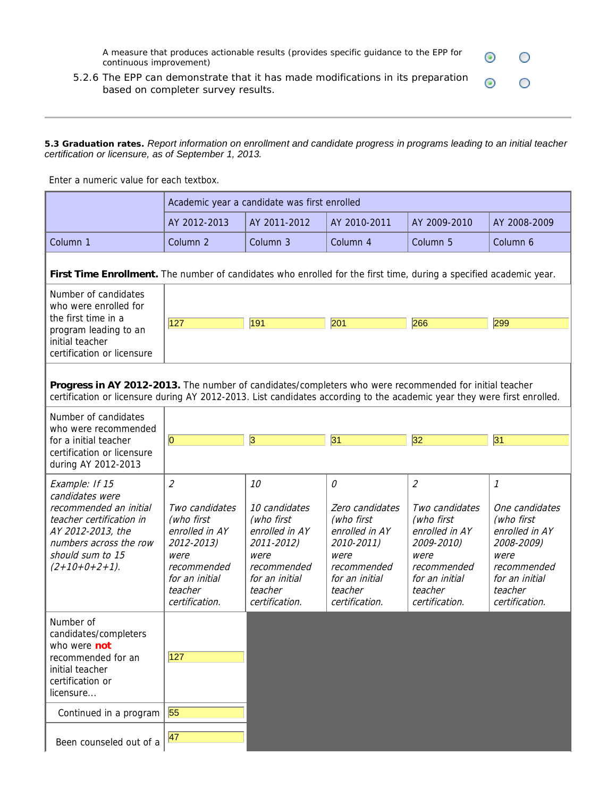A measure that produces actionable results (provides specific guidance to the EPP for continuous improvement)

 $_{\odot}$ 

О

 $\circ$ 

5.2.6 The EPP can demonstrate that it has made modifications in its preparation  $_{\odot}$ based on completer survey results.

#### **5.3 Graduation rates.** *Report information on enrollment and candidate progress in programs leading to an initial teacher certification or licensure, as of September 1, 2013.*

Enter a numeric value for each textbox.

|                                                                                                                                                                                                                                    |                                                                                                                                                      | Academic year a candidate was first enrolled                                                                                            |                                                                                                                                          |                                                                                                                                                      |                                                                                                                                         |  |  |
|------------------------------------------------------------------------------------------------------------------------------------------------------------------------------------------------------------------------------------|------------------------------------------------------------------------------------------------------------------------------------------------------|-----------------------------------------------------------------------------------------------------------------------------------------|------------------------------------------------------------------------------------------------------------------------------------------|------------------------------------------------------------------------------------------------------------------------------------------------------|-----------------------------------------------------------------------------------------------------------------------------------------|--|--|
|                                                                                                                                                                                                                                    | AY 2012-2013                                                                                                                                         | AY 2011-2012                                                                                                                            | AY 2010-2011                                                                                                                             | AY 2009-2010                                                                                                                                         | AY 2008-2009                                                                                                                            |  |  |
| Column 1                                                                                                                                                                                                                           | Column <sub>2</sub>                                                                                                                                  | Column 3                                                                                                                                | Column 4                                                                                                                                 | Column 5                                                                                                                                             | Column 6                                                                                                                                |  |  |
| First Time Enrollment. The number of candidates who enrolled for the first time, during a specified academic year.                                                                                                                 |                                                                                                                                                      |                                                                                                                                         |                                                                                                                                          |                                                                                                                                                      |                                                                                                                                         |  |  |
| Number of candidates<br>who were enrolled for<br>the first time in a<br>program leading to an<br>initial teacher<br>certification or licensure                                                                                     | 127                                                                                                                                                  | 191                                                                                                                                     | 201                                                                                                                                      | 266                                                                                                                                                  | 299                                                                                                                                     |  |  |
| Progress in AY 2012-2013. The number of candidates/completers who were recommended for initial teacher<br>certification or licensure during AY 2012-2013. List candidates according to the academic year they were first enrolled. |                                                                                                                                                      |                                                                                                                                         |                                                                                                                                          |                                                                                                                                                      |                                                                                                                                         |  |  |
| Number of candidates<br>who were recommended                                                                                                                                                                                       |                                                                                                                                                      |                                                                                                                                         |                                                                                                                                          |                                                                                                                                                      |                                                                                                                                         |  |  |
| for a initial teacher                                                                                                                                                                                                              | 0                                                                                                                                                    | 3                                                                                                                                       | 31                                                                                                                                       | 32                                                                                                                                                   | 31                                                                                                                                      |  |  |
| certification or licensure<br>during AY 2012-2013                                                                                                                                                                                  |                                                                                                                                                      |                                                                                                                                         |                                                                                                                                          |                                                                                                                                                      |                                                                                                                                         |  |  |
| Example: If 15<br>candidates were<br>recommended an initial<br>teacher certification in<br>AY 2012-2013, the<br>numbers across the row<br>should sum to 15<br>$(2+10+0+2+1)$ .                                                     | $\overline{2}$<br>Two candidates<br>(who first<br>enrolled in AY<br>2012-2013)<br>were<br>recommended<br>for an initial<br>teacher<br>certification. | 10<br>10 candidates<br>(who first<br>enrolled in AY<br>2011-2012)<br>were<br>recommended<br>for an initial<br>teacher<br>certification. | 0<br>Zero candidates<br>(who first<br>enrolled in AY<br>2010-2011)<br>were<br>recommended<br>for an initial<br>teacher<br>certification. | $\overline{2}$<br>Two candidates<br>(who first<br>enrolled in AY<br>2009-2010)<br>were<br>recommended<br>for an initial<br>teacher<br>certification. | 1<br>One candidates<br>(who first<br>enrolled in AY<br>2008-2009)<br>were<br>recommended<br>for an initial<br>teacher<br>certification. |  |  |
| Number of<br>candidates/completers<br>who were not<br>recommended for an<br>initial teacher<br>certification or<br>licensure<br>Continued in a program                                                                             | 127<br>55                                                                                                                                            |                                                                                                                                         |                                                                                                                                          |                                                                                                                                                      |                                                                                                                                         |  |  |
| Been counseled out of a                                                                                                                                                                                                            | 47                                                                                                                                                   |                                                                                                                                         |                                                                                                                                          |                                                                                                                                                      |                                                                                                                                         |  |  |
|                                                                                                                                                                                                                                    |                                                                                                                                                      |                                                                                                                                         |                                                                                                                                          |                                                                                                                                                      |                                                                                                                                         |  |  |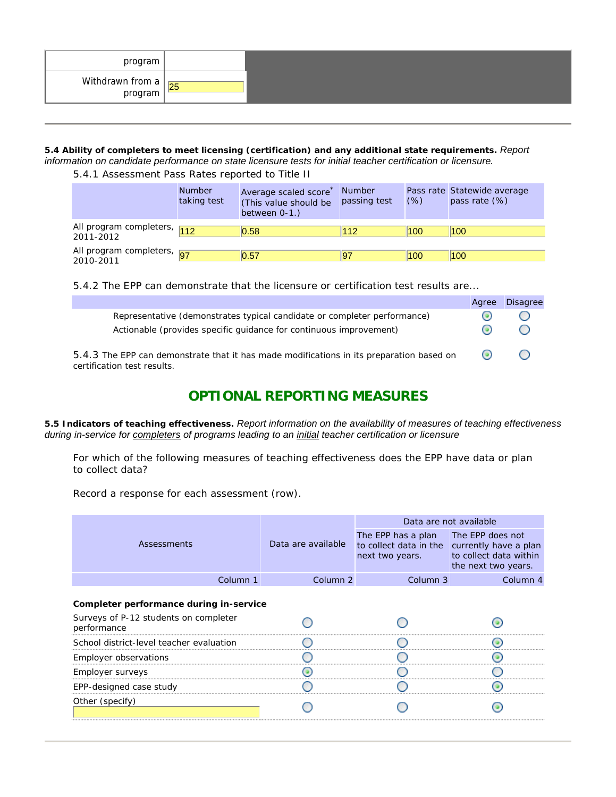| program                       |    |  |
|-------------------------------|----|--|
| Withdrawn from a<br>  program | 25 |  |

**5.4 Ability of completers to meet licensing (certification) and any additional state requirements.** *Report information on candidate performance on state licensure tests for initial teacher certification or licensure.*

5.4.1 Assessment Pass Rates reported to Title II

|                                          | <b>Number</b><br>taking test | Average scaled score<br>(This value should be<br>between 0-1.) | <b>Number</b><br>passing test | (% ) | Pass rate Statewide average<br>pass rate (%) |
|------------------------------------------|------------------------------|----------------------------------------------------------------|-------------------------------|------|----------------------------------------------|
| All program completers, 112<br>2011-2012 |                              | 0.58                                                           | 112                           | 100  | 100                                          |
| All program completers, 97<br>2010-2011  |                              | 0.57                                                           |                               | 100  | 100                                          |

5.4.2 The EPP can demonstrate that the licensure or certification test results are...

|                                                                                                                                                | Agree   | <b>Disagree</b>                                 |
|------------------------------------------------------------------------------------------------------------------------------------------------|---------|-------------------------------------------------|
| Representative (demonstrates typical candidate or completer performance)<br>Actionable (provides specific quidance for continuous improvement) |         |                                                 |
| 5.4.3 The EPP can demonstrate that it has made modifications in its preparation based on<br>certification test results.                        | $\circ$ | $\left( \begin{array}{c} 1 \end{array} \right)$ |

# **OPTIONAL REPORTING MEASURES**

**5.5 Indicators of teaching effectiveness.** *Report information on the availability of measures of teaching effectiveness during in-service for completers of programs leading to an initial teacher certification or licensure*

For which of the following measures of teaching effectiveness does the EPP have data or plan to collect data?

Record a response for each assessment (row).

|                                                      |                     | Data are not available                                                                                 |                                               |  |  |
|------------------------------------------------------|---------------------|--------------------------------------------------------------------------------------------------------|-----------------------------------------------|--|--|
| Assessments                                          | Data are available  | The EPP has a plan The EPP does not<br>to collect data in the currently have a plan<br>next two years. | to collect data within<br>the next two years. |  |  |
| Column 1                                             | Column <sub>2</sub> | Column 3                                                                                               | Column 4                                      |  |  |
| Completer performance during in-service              |                     |                                                                                                        |                                               |  |  |
| Surveys of P-12 students on completer<br>performance |                     |                                                                                                        |                                               |  |  |
| School district-level teacher evaluation             |                     |                                                                                                        |                                               |  |  |
| Employer observations                                |                     |                                                                                                        |                                               |  |  |
| Employer surveys                                     |                     |                                                                                                        |                                               |  |  |
| EPP-designed case study                              |                     |                                                                                                        |                                               |  |  |
| Other (specify)                                      |                     |                                                                                                        |                                               |  |  |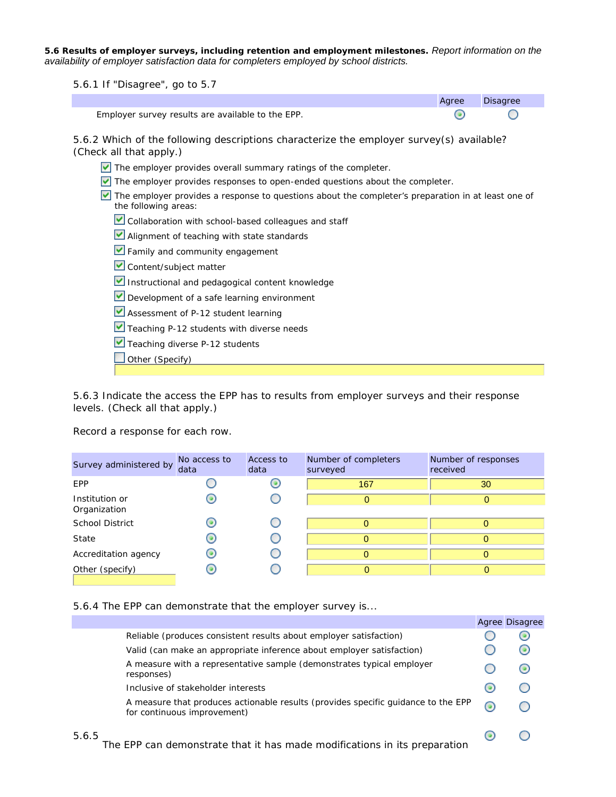**5.6 Results of employer surveys, including retention and employment milestones.** *Report information on the availability of employer satisfaction data for completers employed by school districts.*

5.6.1 If "Disagree", go to 5.7 Agree Disagree Employer survey results are available to the EPP. ◉ ∩ 5.6.2 Which of the following descriptions characterize the employer survey(s) available? (Check all that apply.) The employer provides overall summary ratings of the completer. The employer provides responses to open-ended questions about the completer.  $\triangledown$  The employer provides a response to questions about the completer's preparation in at least one of the following areas: Collaboration with school-based colleagues and staff **M** Alignment of teaching with state standards **Family and community engagement** Content/subject matter Instructional and pedagogical content knowledge Development of a safe learning environment Assessment of P-12 student learning Teaching P-12 students with diverse needs Teaching diverse P-12 students  $\Box$  Other (Specify)

5.6.3 Indicate the access the EPP has to results from employer surveys and their response levels. (Check all that apply.)

Record a response for each row.

| Survey administered by         | No access to<br>data | Access to<br>data | Number of completers<br>surveyed | Number of responses<br>received |
|--------------------------------|----------------------|-------------------|----------------------------------|---------------------------------|
| EPP                            |                      |                   | 167                              | 30                              |
| Institution or<br>Organization |                      |                   | $\Omega$                         | 0                               |
| School District                |                      |                   | 0                                |                                 |
| State                          |                      |                   | 0                                |                                 |
| Accreditation agency           |                      |                   | $\Omega$                         |                                 |
| Other (specify)                |                      |                   | 0                                |                                 |

#### 5.6.4 The EPP can demonstrate that the employer survey is...

|       |                                                                                                                  |                        | Agree Disagree           |
|-------|------------------------------------------------------------------------------------------------------------------|------------------------|--------------------------|
|       | Reliable (produces consistent results about employer satisfaction)                                               |                        |                          |
|       | Valid (can make an appropriate inference about employer satisfaction)                                            |                        | $\left( \bullet \right)$ |
|       | A measure with a representative sample (demonstrates typical employer<br>responses)                              |                        | 0                        |
|       | Inclusive of stakeholder interests                                                                               | ( o                    |                          |
|       | A measure that produces actionable results (provides specific quidance to the EPP<br>for continuous improvement) | $\bm{\bm{\mathsf{G}}}$ |                          |
| 5.6.5 | The EPP can demonstrate that it has made modifications in its preparation                                        |                        |                          |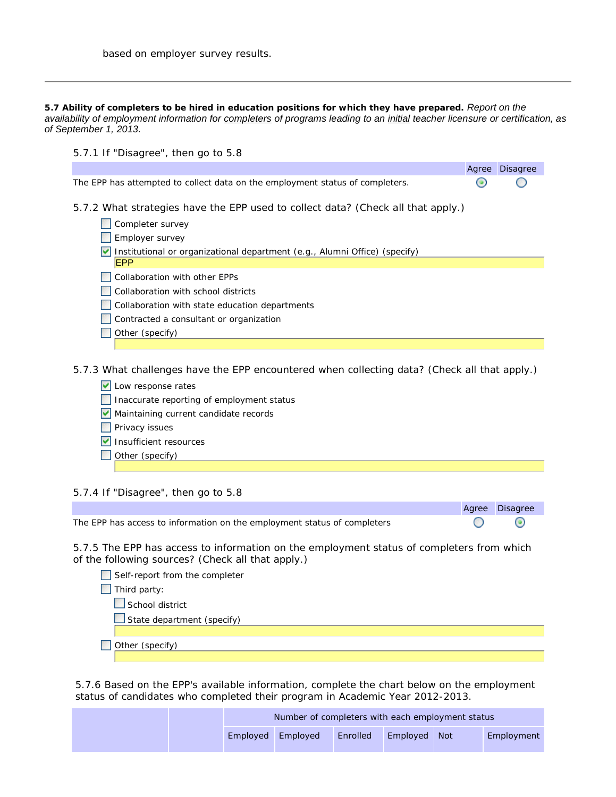**5.7 Ability of completers to be hired in education positions for which they have prepared.** *Report on the availability of employment information for completers of programs leading to an initial teacher licensure or certification, as of September 1, 2013.*

| 5.7.1 If "Disagree", then go to 5.8                                                      |       |                 |  |  |  |  |
|------------------------------------------------------------------------------------------|-------|-----------------|--|--|--|--|
|                                                                                          | Agree | <b>Disagree</b> |  |  |  |  |
| The EPP has attempted to collect data on the employment status of completers.            |       |                 |  |  |  |  |
| 5.7.2 What strategies have the EPP used to collect data? (Check all that apply.)         |       |                 |  |  |  |  |
| Completer survey                                                                         |       |                 |  |  |  |  |
| Employer survey                                                                          |       |                 |  |  |  |  |
| Institutional or organizational department (e.g., Alumni Office) (specify)<br><b>EPP</b> |       |                 |  |  |  |  |
| Collaboration with other EPPs                                                            |       |                 |  |  |  |  |
| Collaboration with school districts                                                      |       |                 |  |  |  |  |
| Collaboration with state education departments                                           |       |                 |  |  |  |  |
| Contracted a consultant or organization                                                  |       |                 |  |  |  |  |
| Other (specify)                                                                          |       |                 |  |  |  |  |

5.7.3 What challenges have the EPP encountered when collecting data? (Check all that apply.)

 $\triangleright$  Low response rates Inaccurate reporting of employment status Maintaining current candidate records **Privacy issues**  $\triangledown$  Insufficient resources Other (specify)

### 5.7.4 If "Disagree", then go to 5.8

The EPP has access to information on the employment status of completers

5.7.5 The EPP has access to information on the employment status of completers from which of the following sources? (Check all that apply.)

| Self-report from the completer    |
|-----------------------------------|
| Third party:                      |
| School district                   |
| $\Box$ State department (specify) |
|                                   |
| Other (specify)                   |

Agree Disagree

∩

 $\odot$ 

5.7.6 Based on the EPP's available information, complete the chart below on the employment status of candidates who completed their program in Academic Year 2012-2013.

|            | Number of completers with each employment status |          |              |  |            |
|------------|--------------------------------------------------|----------|--------------|--|------------|
| Emploved L | Emploved                                         | Enrolled | Employed Not |  | Employment |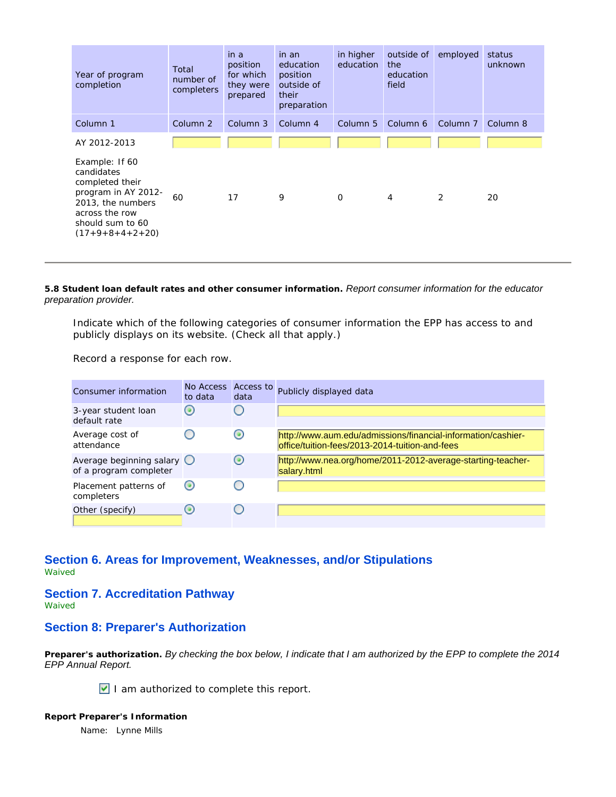| Year of program<br>completion                                                                                                                          | Total<br>number of<br>completers | in a<br>position<br>for which<br>they were<br>prepared | in an<br>education<br>position<br>outside of<br>their<br>preparation | in higher<br>education | outside of<br>the<br>education<br>field | employed            | status<br>unknown |
|--------------------------------------------------------------------------------------------------------------------------------------------------------|----------------------------------|--------------------------------------------------------|----------------------------------------------------------------------|------------------------|-----------------------------------------|---------------------|-------------------|
| Column 1                                                                                                                                               | Column <sub>2</sub>              | Column 3                                               | Column 4                                                             | Column <sub>5</sub>    | Column 6                                | Column <sub>7</sub> | Column 8          |
| AY 2012-2013                                                                                                                                           |                                  |                                                        |                                                                      |                        |                                         |                     |                   |
| Example: If 60<br>candidates<br>completed their<br>program in AY 2012-<br>2013, the numbers<br>across the row<br>should sum to 60<br>$(17+9+8+4+2+20)$ | 60                               | 17                                                     | 9                                                                    | $\mathbf 0$            | $\overline{4}$                          | 2                   | 20                |

**5.8 Student loan default rates and other consumer information.** *Report consumer information for the educator preparation provider.*

Indicate which of the following categories of consumer information the EPP has access to and publicly displays on its website. (Check all that apply.)

Record a response for each row.

| Consumer information                                          | No Access<br>to data     | Access to<br>data                               | Publicly displayed data                                                                                        |
|---------------------------------------------------------------|--------------------------|-------------------------------------------------|----------------------------------------------------------------------------------------------------------------|
| 3-year student loan<br>default rate                           | $\left( \bullet \right)$ | $\left( \begin{array}{c} 1 \end{array} \right)$ |                                                                                                                |
| Average cost of<br>attendance                                 |                          | $\left( \bullet \right)$                        | http://www.aum.edu/admissions/financial-information/cashier-<br>office/tuition-fees/2013-2014-tuition-and-fees |
| Average beginning salary $\bigcirc$<br>of a program completer |                          | $\odot$                                         | http://www.nea.org/home/2011-2012-average-starting-teacher-<br>salary.html                                     |
| Placement patterns of<br>completers                           | $\left( \bullet \right)$ | $\left( \begin{array}{c} 1 \end{array} \right)$ |                                                                                                                |
| Other (specify)                                               | $\left( \bullet \right)$ |                                                 |                                                                                                                |

# **Section 6. Areas for Improvement, Weaknesses, and/or Stipulations**

Waived

#### **Section 7. Accreditation Pathway**

Waived

### **Section 8: Preparer's Authorization**

**Preparer's authorization.** *By checking the box below, I indicate that I am authorized by the EPP to complete the 2014 EPP Annual Report.*

I am authorized to complete this report.

**Report Preparer's Information** Name: Lynne Mills